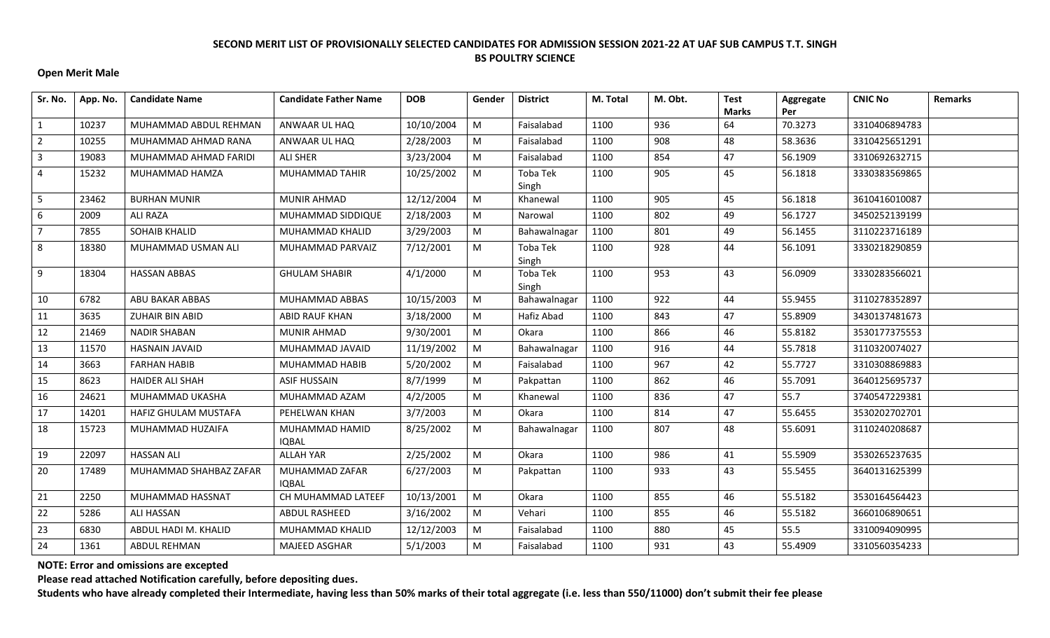## **Open Merit Male**

| Sr. No.        | App. No. | <b>Candidate Name</b>  | <b>Candidate Father Name</b>   | <b>DOB</b> | Gender    | <b>District</b>   | M. Total | M. Obt. | <b>Test</b><br><b>Marks</b> | Aggregate<br>Per | <b>CNIC No</b> | <b>Remarks</b> |
|----------------|----------|------------------------|--------------------------------|------------|-----------|-------------------|----------|---------|-----------------------------|------------------|----------------|----------------|
| $\mathbf{1}$   | 10237    | MUHAMMAD ABDUL REHMAN  | ANWAAR UL HAQ                  | 10/10/2004 | M         | Faisalabad        | 1100     | 936     | 64                          | 70.3273          | 3310406894783  |                |
| $\overline{2}$ | 10255    | MUHAMMAD AHMAD RANA    | ANWAAR UL HAQ                  | 2/28/2003  | M         | Faisalabad        | 1100     | 908     | 48                          | 58.3636          | 3310425651291  |                |
| 3              | 19083    | MUHAMMAD AHMAD FARIDI  | <b>ALI SHER</b>                | 3/23/2004  | M         | Faisalabad        | 1100     | 854     | 47                          | 56.1909          | 3310692632715  |                |
| 4              | 15232    | MUHAMMAD HAMZA         | MUHAMMAD TAHIR                 | 10/25/2002 | M         | Toba Tek<br>Singh | 1100     | 905     | 45                          | 56.1818          | 3330383569865  |                |
| 5              | 23462    | <b>BURHAN MUNIR</b>    | <b>MUNIR AHMAD</b>             | 12/12/2004 | M         | Khanewal          | 1100     | 905     | 45                          | 56.1818          | 3610416010087  |                |
| 6              | 2009     | <b>ALI RAZA</b>        | MUHAMMAD SIDDIQUE              | 2/18/2003  | M         | Narowal           | 1100     | 802     | 49                          | 56.1727          | 3450252139199  |                |
| $\overline{7}$ | 7855     | <b>SOHAIB KHALID</b>   | MUHAMMAD KHALID                | 3/29/2003  | M         | Bahawalnagar      | 1100     | 801     | 49                          | 56.1455          | 3110223716189  |                |
| 8              | 18380    | MUHAMMAD USMAN ALI     | MUHAMMAD PARVAIZ               | 7/12/2001  | M         | Toba Tek<br>Singh | 1100     | 928     | 44                          | 56.1091          | 3330218290859  |                |
| 9              | 18304    | <b>HASSAN ABBAS</b>    | <b>GHULAM SHABIR</b>           | 4/1/2000   | M         | Toba Tek<br>Singh | 1100     | 953     | 43                          | 56.0909          | 3330283566021  |                |
| 10             | 6782     | ABU BAKAR ABBAS        | MUHAMMAD ABBAS                 | 10/15/2003 | M         | Bahawalnagar      | 1100     | 922     | 44                          | 55.9455          | 3110278352897  |                |
| 11             | 3635     | <b>ZUHAIR BIN ABID</b> | <b>ABID RAUF KHAN</b>          | 3/18/2000  | M         | Hafiz Abad        | 1100     | 843     | 47                          | 55.8909          | 3430137481673  |                |
| 12             | 21469    | <b>NADIR SHABAN</b>    | <b>MUNIR AHMAD</b>             | 9/30/2001  | ${\sf M}$ | Okara             | 1100     | 866     | 46                          | 55.8182          | 3530177375553  |                |
| 13             | 11570    | <b>HASNAIN JAVAID</b>  | MUHAMMAD JAVAID                | 11/19/2002 | M         | Bahawalnagar      | 1100     | 916     | 44                          | 55.7818          | 3110320074027  |                |
| 14             | 3663     | <b>FARHAN HABIB</b>    | MUHAMMAD HABIB                 | 5/20/2002  | M         | Faisalabad        | 1100     | 967     | 42                          | 55.7727          | 3310308869883  |                |
| 15             | 8623     | <b>HAIDER ALI SHAH</b> | <b>ASIF HUSSAIN</b>            | 8/7/1999   | M         | Pakpattan         | 1100     | 862     | 46                          | 55.7091          | 3640125695737  |                |
| 16             | 24621    | MUHAMMAD UKASHA        | MUHAMMAD AZAM                  | 4/2/2005   | M         | Khanewal          | 1100     | 836     | 47                          | 55.7             | 3740547229381  |                |
| 17             | 14201    | HAFIZ GHULAM MUSTAFA   | PEHELWAN KHAN                  | 3/7/2003   | M         | Okara             | 1100     | 814     | 47                          | 55.6455          | 3530202702701  |                |
| 18             | 15723    | MUHAMMAD HUZAIFA       | MUHAMMAD HAMID<br><b>IQBAL</b> | 8/25/2002  | M         | Bahawalnagar      | 1100     | 807     | 48                          | 55.6091          | 3110240208687  |                |
| 19             | 22097    | <b>HASSAN ALI</b>      | <b>ALLAH YAR</b>               | 2/25/2002  | M         | Okara             | 1100     | 986     | 41                          | 55.5909          | 3530265237635  |                |
| 20             | 17489    | MUHAMMAD SHAHBAZ ZAFAR | MUHAMMAD ZAFAR<br><b>IQBAL</b> | 6/27/2003  | M         | Pakpattan         | 1100     | 933     | 43                          | 55.5455          | 3640131625399  |                |
| 21             | 2250     | MUHAMMAD HASSNAT       | CH MUHAMMAD LATEEF             | 10/13/2001 | M         | Okara             | 1100     | 855     | 46                          | 55.5182          | 3530164564423  |                |
| 22             | 5286     | <b>ALI HASSAN</b>      | ABDUL RASHEED                  | 3/16/2002  | M         | Vehari            | 1100     | 855     | 46                          | 55.5182          | 3660106890651  |                |
| 23             | 6830     | ABDUL HADI M. KHALID   | MUHAMMAD KHALID                | 12/12/2003 | M         | Faisalabad        | 1100     | 880     | 45                          | 55.5             | 3310094090995  |                |
| 24             | 1361     | ABDUL REHMAN           | MAJEED ASGHAR                  | 5/1/2003   | M         | Faisalabad        | 1100     | 931     | 43                          | 55.4909          | 3310560354233  |                |

**NOTE: Error and omissions are excepted**

**Please read attached Notification carefully, before depositing dues.**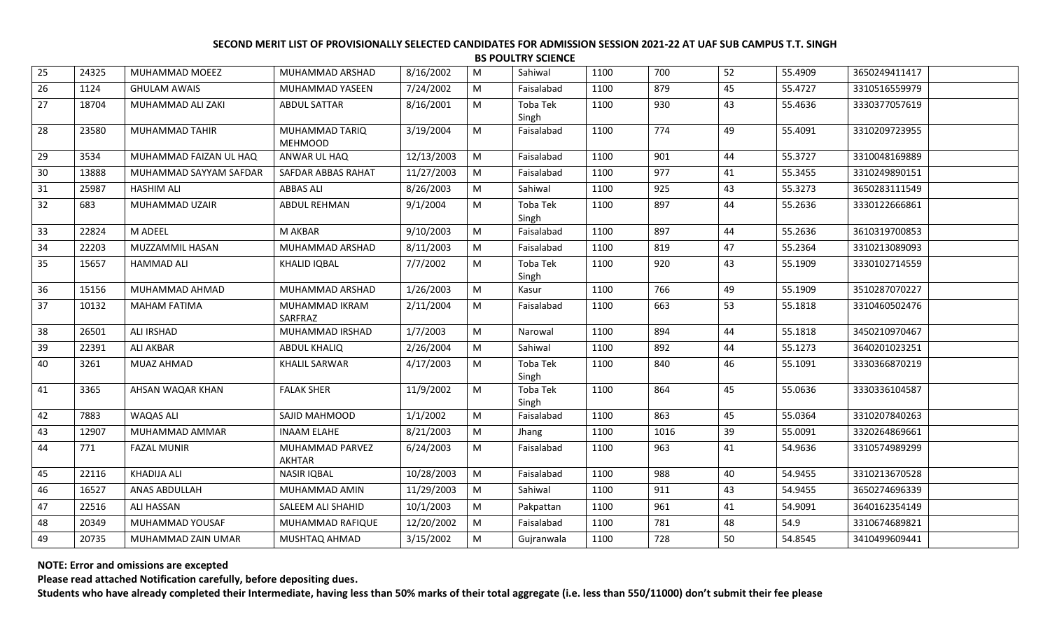|    | <b>BS POULTRY SCIENCE</b> |                        |                                  |            |   |                   |      |      |    |         |               |  |
|----|---------------------------|------------------------|----------------------------------|------------|---|-------------------|------|------|----|---------|---------------|--|
| 25 | 24325                     | MUHAMMAD MOEEZ         | MUHAMMAD ARSHAD                  | 8/16/2002  | M | Sahiwal           | 1100 | 700  | 52 | 55.4909 | 3650249411417 |  |
| 26 | 1124                      | <b>GHULAM AWAIS</b>    | MUHAMMAD YASEEN                  | 7/24/2002  | M | Faisalabad        | 1100 | 879  | 45 | 55.4727 | 3310516559979 |  |
| 27 | 18704                     | MUHAMMAD ALI ZAKI      | <b>ABDUL SATTAR</b>              | 8/16/2001  | M | Toba Tek<br>Singh | 1100 | 930  | 43 | 55.4636 | 3330377057619 |  |
| 28 | 23580                     | MUHAMMAD TAHIR         | MUHAMMAD TARIQ<br><b>MEHMOOD</b> | 3/19/2004  | M | Faisalabad        | 1100 | 774  | 49 | 55.4091 | 3310209723955 |  |
| 29 | 3534                      | MUHAMMAD FAIZAN UL HAQ | ANWAR UL HAQ                     | 12/13/2003 | M | Faisalabad        | 1100 | 901  | 44 | 55.3727 | 3310048169889 |  |
| 30 | 13888                     | MUHAMMAD SAYYAM SAFDAR | SAFDAR ABBAS RAHAT               | 11/27/2003 | M | Faisalabad        | 1100 | 977  | 41 | 55.3455 | 3310249890151 |  |
| 31 | 25987                     | <b>HASHIM ALI</b>      | <b>ABBAS ALI</b>                 | 8/26/2003  | M | Sahiwal           | 1100 | 925  | 43 | 55.3273 | 3650283111549 |  |
| 32 | 683                       | MUHAMMAD UZAIR         | ABDUL REHMAN                     | 9/1/2004   | M | Toba Tek<br>Singh | 1100 | 897  | 44 | 55.2636 | 3330122666861 |  |
| 33 | 22824                     | M ADEEL                | M AKBAR                          | 9/10/2003  | M | Faisalabad        | 1100 | 897  | 44 | 55.2636 | 3610319700853 |  |
| 34 | 22203                     | MUZZAMMIL HASAN        | MUHAMMAD ARSHAD                  | 8/11/2003  | M | Faisalabad        | 1100 | 819  | 47 | 55.2364 | 3310213089093 |  |
| 35 | 15657                     | HAMMAD ALI             | <b>KHALID IQBAL</b>              | 7/7/2002   | M | Toba Tek<br>Singh | 1100 | 920  | 43 | 55.1909 | 3330102714559 |  |
| 36 | 15156                     | MUHAMMAD AHMAD         | MUHAMMAD ARSHAD                  | 1/26/2003  | M | Kasur             | 1100 | 766  | 49 | 55.1909 | 3510287070227 |  |
| 37 | 10132                     | <b>MAHAM FATIMA</b>    | MUHAMMAD IKRAM<br>SARFRAZ        | 2/11/2004  | M | Faisalabad        | 1100 | 663  | 53 | 55.1818 | 3310460502476 |  |
| 38 | 26501                     | <b>ALI IRSHAD</b>      | MUHAMMAD IRSHAD                  | 1/7/2003   | M | Narowal           | 1100 | 894  | 44 | 55.1818 | 3450210970467 |  |
| 39 | 22391                     | <b>ALI AKBAR</b>       | <b>ABDUL KHALIQ</b>              | 2/26/2004  | M | Sahiwal           | 1100 | 892  | 44 | 55.1273 | 3640201023251 |  |
| 40 | 3261                      | <b>MUAZ AHMAD</b>      | <b>KHALIL SARWAR</b>             | 4/17/2003  | M | Toba Tek<br>Singh | 1100 | 840  | 46 | 55.1091 | 3330366870219 |  |
| 41 | 3365                      | AHSAN WAQAR KHAN       | <b>FALAK SHER</b>                | 11/9/2002  | M | Toba Tek<br>Singh | 1100 | 864  | 45 | 55.0636 | 3330336104587 |  |
| 42 | 7883                      | <b>WAQAS ALI</b>       | SAJID MAHMOOD                    | 1/1/2002   | M | Faisalabad        | 1100 | 863  | 45 | 55.0364 | 3310207840263 |  |
| 43 | 12907                     | MUHAMMAD AMMAR         | <b>INAAM ELAHE</b>               | 8/21/2003  | M | Jhang             | 1100 | 1016 | 39 | 55.0091 | 3320264869661 |  |
| 44 | 771                       | <b>FAZAL MUNIR</b>     | MUHAMMAD PARVEZ<br><b>AKHTAR</b> | 6/24/2003  | М | Faisalabad        | 1100 | 963  | 41 | 54.9636 | 3310574989299 |  |
| 45 | 22116                     | <b>KHADIJA ALI</b>     | <b>NASIR IQBAL</b>               | 10/28/2003 | M | Faisalabad        | 1100 | 988  | 40 | 54.9455 | 3310213670528 |  |
| 46 | 16527                     | <b>ANAS ABDULLAH</b>   | MUHAMMAD AMIN                    | 11/29/2003 | M | Sahiwal           | 1100 | 911  | 43 | 54.9455 | 3650274696339 |  |
| 47 | 22516                     | <b>ALI HASSAN</b>      | SALEEM ALI SHAHID                | 10/1/2003  | M | Pakpattan         | 1100 | 961  | 41 | 54.9091 | 3640162354149 |  |
| 48 | 20349                     | MUHAMMAD YOUSAF        | MUHAMMAD RAFIQUE                 | 12/20/2002 | M | Faisalabad        | 1100 | 781  | 48 | 54.9    | 3310674689821 |  |
| 49 | 20735                     | MUHAMMAD ZAIN UMAR     | MUSHTAQ AHMAD                    | 3/15/2002  | M | Gujranwala        | 1100 | 728  | 50 | 54.8545 | 3410499609441 |  |

**NOTE: Error and omissions are excepted**

**Please read attached Notification carefully, before depositing dues.**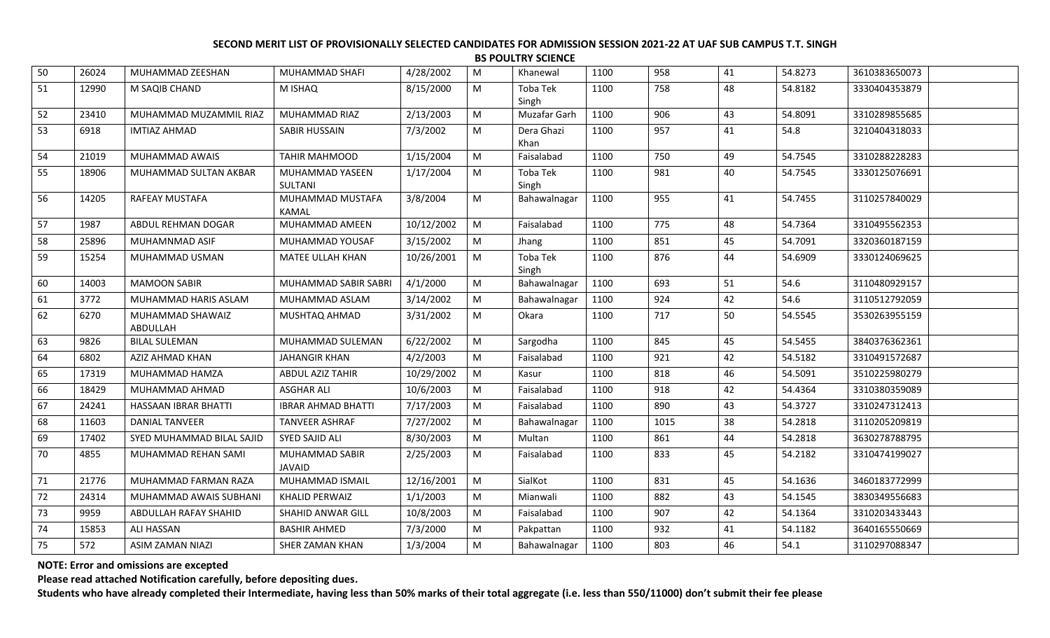|    | <b>BS POULTRY SCIENCE</b> |                              |                                  |            |   |                    |      |      |    |         |               |  |
|----|---------------------------|------------------------------|----------------------------------|------------|---|--------------------|------|------|----|---------|---------------|--|
| 50 | 26024                     | MUHAMMAD ZEESHAN             | MUHAMMAD SHAFI                   | 4/28/2002  | M | Khanewal           | 1100 | 958  | 41 | 54.8273 | 3610383650073 |  |
| 51 | 12990                     | M SAQIB CHAND                | M ISHAQ                          | 8/15/2000  | M | Toba Tek<br>Singh  | 1100 | 758  | 48 | 54.8182 | 3330404353879 |  |
| 52 | 23410                     | MUHAMMAD MUZAMMIL RIAZ       | MUHAMMAD RIAZ                    | 2/13/2003  | M | Muzafar Garh       | 1100 | 906  | 43 | 54.8091 | 3310289855685 |  |
| 53 | 6918                      | <b>IMTIAZ AHMAD</b>          | SABIR HUSSAIN                    | 7/3/2002   | M | Dera Ghazi<br>Khan | 1100 | 957  | 41 | 54.8    | 3210404318033 |  |
| 54 | 21019                     | MUHAMMAD AWAIS               | <b>TAHIR MAHMOOD</b>             | 1/15/2004  | M | Faisalabad         | 1100 | 750  | 49 | 54.7545 | 3310288228283 |  |
| 55 | 18906                     | MUHAMMAD SULTAN AKBAR        | MUHAMMAD YASEEN<br>SULTANI       | 1/17/2004  | M | Toba Tek<br>Singh  | 1100 | 981  | 40 | 54.7545 | 3330125076691 |  |
| 56 | 14205                     | RAFEAY MUSTAFA               | MUHAMMAD MUSTAFA<br><b>KAMAL</b> | 3/8/2004   | M | Bahawalnagar       | 1100 | 955  | 41 | 54.7455 | 3110257840029 |  |
| 57 | 1987                      | ABDUL REHMAN DOGAR           | MUHAMMAD AMEEN                   | 10/12/2002 | M | Faisalabad         | 1100 | 775  | 48 | 54.7364 | 3310495562353 |  |
| 58 | 25896                     | MUHAMNMAD ASIF               | <b>MUHAMMAD YOUSAF</b>           | 3/15/2002  | M | Jhang              | 1100 | 851  | 45 | 54.7091 | 3320360187159 |  |
| 59 | 15254                     | MUHAMMAD USMAN               | MATEE ULLAH KHAN                 | 10/26/2001 | M | Toba Tek<br>Singh  | 1100 | 876  | 44 | 54.6909 | 3330124069625 |  |
| 60 | 14003                     | <b>MAMOON SABIR</b>          | MUHAMMAD SABIR SABRI             | 4/1/2000   | M | Bahawalnagar       | 1100 | 693  | 51 | 54.6    | 3110480929157 |  |
| 61 | 3772                      | MUHAMMAD HARIS ASLAM         | MUHAMMAD ASLAM                   | 3/14/2002  | M | Bahawalnagar       | 1100 | 924  | 42 | 54.6    | 3110512792059 |  |
| 62 | 6270                      | MUHAMMAD SHAWAIZ<br>ABDULLAH | MUSHTAQ AHMAD                    | 3/31/2002  | M | Okara              | 1100 | 717  | 50 | 54.5545 | 3530263955159 |  |
| 63 | 9826                      | <b>BILAL SULEMAN</b>         | MUHAMMAD SULEMAN                 | 6/22/2002  | M | Sargodha           | 1100 | 845  | 45 | 54.5455 | 3840376362361 |  |
| 64 | 6802                      | AZIZ AHMAD KHAN              | <b>JAHANGIR KHAN</b>             | 4/2/2003   | M | Faisalabad         | 1100 | 921  | 42 | 54.5182 | 3310491572687 |  |
| 65 | 17319                     | MUHAMMAD HAMZA               | <b>ABDUL AZIZ TAHIR</b>          | 10/29/2002 | M | Kasur              | 1100 | 818  | 46 | 54.5091 | 3510225980279 |  |
| 66 | 18429                     | MUHAMMAD AHMAD               | <b>ASGHAR ALI</b>                | 10/6/2003  | M | Faisalabad         | 1100 | 918  | 42 | 54.4364 | 3310380359089 |  |
| 67 | 24241                     | HASSAAN IBRAR BHATTI         | <b>IBRAR AHMAD BHATTI</b>        | 7/17/2003  | M | Faisalabad         | 1100 | 890  | 43 | 54.3727 | 3310247312413 |  |
| 68 | 11603                     | <b>DANIAL TANVEER</b>        | <b>TANVEER ASHRAF</b>            | 7/27/2002  | M | Bahawalnagar       | 1100 | 1015 | 38 | 54.2818 | 3110205209819 |  |
| 69 | 17402                     | SYED MUHAMMAD BILAL SAJID    | SYED SAJID ALI                   | 8/30/2003  | M | Multan             | 1100 | 861  | 44 | 54.2818 | 3630278788795 |  |
| 70 | 4855                      | MUHAMMAD REHAN SAMI          | MUHAMMAD SABIR<br>JAVAID         | 2/25/2003  | M | Faisalabad         | 1100 | 833  | 45 | 54.2182 | 3310474199027 |  |
| 71 | 21776                     | MUHAMMAD FARMAN RAZA         | MUHAMMAD ISMAIL                  | 12/16/2001 | M | SialKot            | 1100 | 831  | 45 | 54.1636 | 3460183772999 |  |
| 72 | 24314                     | MUHAMMAD AWAIS SUBHANI       | <b>KHALID PERWAIZ</b>            | 1/1/2003   | M | Mianwali           | 1100 | 882  | 43 | 54.1545 | 3830349556683 |  |
| 73 | 9959                      | ABDULLAH RAFAY SHAHID        | SHAHID ANWAR GILL                | 10/8/2003  | M | Faisalabad         | 1100 | 907  | 42 | 54.1364 | 3310203433443 |  |
| 74 | 15853                     | <b>ALI HASSAN</b>            | <b>BASHIR AHMED</b>              | 7/3/2000   | M | Pakpattan          | 1100 | 932  | 41 | 54.1182 | 3640165550669 |  |
| 75 | 572                       | <b>ASIM ZAMAN NIAZI</b>      | SHER ZAMAN KHAN                  | 1/3/2004   | M | Bahawalnagar       | 1100 | 803  | 46 | 54.1    | 3110297088347 |  |

**NOTE: Error and omissions are excepted**

**Please read attached Notification carefully, before depositing dues.**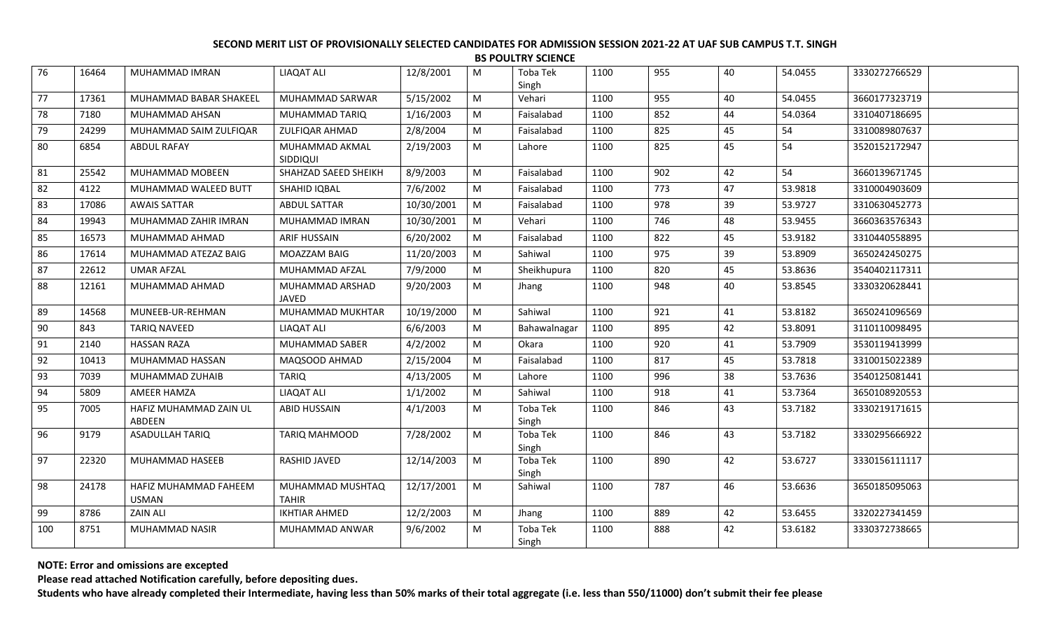|     |       |                                       |                                  |            |           | <b>BS POULTRY SCIENCE</b> |      |     |    |         |               |  |
|-----|-------|---------------------------------------|----------------------------------|------------|-----------|---------------------------|------|-----|----|---------|---------------|--|
| 76  | 16464 | MUHAMMAD IMRAN                        | <b>LIAQAT ALI</b>                | 12/8/2001  | M         | Toba Tek<br>Singh         | 1100 | 955 | 40 | 54.0455 | 3330272766529 |  |
| 77  | 17361 | MUHAMMAD BABAR SHAKEEL                | MUHAMMAD SARWAR                  | 5/15/2002  | ${\sf M}$ | Vehari                    | 1100 | 955 | 40 | 54.0455 | 3660177323719 |  |
| 78  | 7180  | MUHAMMAD AHSAN                        | MUHAMMAD TARIQ                   | 1/16/2003  | M         | Faisalabad                | 1100 | 852 | 44 | 54.0364 | 3310407186695 |  |
| 79  | 24299 | MUHAMMAD SAIM ZULFIQAR                | ZULFIQAR AHMAD                   | 2/8/2004   | M         | Faisalabad                | 1100 | 825 | 45 | 54      | 3310089807637 |  |
| 80  | 6854  | <b>ABDUL RAFAY</b>                    | MUHAMMAD AKMAL<br>SIDDIQUI       | 2/19/2003  | M         | Lahore                    | 1100 | 825 | 45 | 54      | 3520152172947 |  |
| 81  | 25542 | MUHAMMAD MOBEEN                       | SHAHZAD SAEED SHEIKH             | 8/9/2003   | M         | Faisalabad                | 1100 | 902 | 42 | 54      | 3660139671745 |  |
| 82  | 4122  | MUHAMMAD WALEED BUTT                  | SHAHID IQBAL                     | 7/6/2002   | M         | Faisalabad                | 1100 | 773 | 47 | 53.9818 | 3310004903609 |  |
| 83  | 17086 | <b>AWAIS SATTAR</b>                   | <b>ABDUL SATTAR</b>              | 10/30/2001 | M         | Faisalabad                | 1100 | 978 | 39 | 53.9727 | 3310630452773 |  |
| 84  | 19943 | MUHAMMAD ZAHIR IMRAN                  | MUHAMMAD IMRAN                   | 10/30/2001 | M         | Vehari                    | 1100 | 746 | 48 | 53.9455 | 3660363576343 |  |
| 85  | 16573 | MUHAMMAD AHMAD                        | <b>ARIF HUSSAIN</b>              | 6/20/2002  | M         | Faisalabad                | 1100 | 822 | 45 | 53.9182 | 3310440558895 |  |
| 86  | 17614 | MUHAMMAD ATEZAZ BAIG                  | MOAZZAM BAIG                     | 11/20/2003 | M         | Sahiwal                   | 1100 | 975 | 39 | 53.8909 | 3650242450275 |  |
| 87  | 22612 | <b>UMAR AFZAL</b>                     | MUHAMMAD AFZAL                   | 7/9/2000   | M         | Sheikhupura               | 1100 | 820 | 45 | 53.8636 | 3540402117311 |  |
| 88  | 12161 | MUHAMMAD AHMAD                        | MUHAMMAD ARSHAD<br><b>JAVED</b>  | 9/20/2003  | M         | Jhang                     | 1100 | 948 | 40 | 53.8545 | 3330320628441 |  |
| 89  | 14568 | MUNEEB-UR-REHMAN                      | MUHAMMAD MUKHTAR                 | 10/19/2000 | M         | Sahiwal                   | 1100 | 921 | 41 | 53.8182 | 3650241096569 |  |
| 90  | 843   | <b>TARIQ NAVEED</b>                   | <b>LIAQAT ALI</b>                | 6/6/2003   | M         | Bahawalnagar              | 1100 | 895 | 42 | 53.8091 | 3110110098495 |  |
| 91  | 2140  | <b>HASSAN RAZA</b>                    | MUHAMMAD SABER                   | 4/2/2002   | ${\sf M}$ | Okara                     | 1100 | 920 | 41 | 53.7909 | 3530119413999 |  |
| 92  | 10413 | MUHAMMAD HASSAN                       | MAQSOOD AHMAD                    | 2/15/2004  | ${\sf M}$ | Faisalabad                | 1100 | 817 | 45 | 53.7818 | 3310015022389 |  |
| 93  | 7039  | MUHAMMAD ZUHAIB                       | <b>TARIQ</b>                     | 4/13/2005  | M         | Lahore                    | 1100 | 996 | 38 | 53.7636 | 3540125081441 |  |
| 94  | 5809  | AMEER HAMZA                           | <b>LIAQAT ALI</b>                | 1/1/2002   | M         | Sahiwal                   | 1100 | 918 | 41 | 53.7364 | 3650108920553 |  |
| 95  | 7005  | HAFIZ MUHAMMAD ZAIN UL<br>ABDEEN      | <b>ABID HUSSAIN</b>              | 4/1/2003   | M         | Toba Tek<br>Singh         | 1100 | 846 | 43 | 53.7182 | 3330219171615 |  |
| 96  | 9179  | <b>ASADULLAH TARIQ</b>                | TARIQ MAHMOOD                    | 7/28/2002  | M         | Toba Tek<br>Singh         | 1100 | 846 | 43 | 53.7182 | 3330295666922 |  |
| 97  | 22320 | MUHAMMAD HASEEB                       | RASHID JAVED                     | 12/14/2003 | M         | Toba Tek<br>Singh         | 1100 | 890 | 42 | 53.6727 | 3330156111117 |  |
| 98  | 24178 | HAFIZ MUHAMMAD FAHEEM<br><b>USMAN</b> | MUHAMMAD MUSHTAQ<br><b>TAHIR</b> | 12/17/2001 | M         | Sahiwal                   | 1100 | 787 | 46 | 53.6636 | 3650185095063 |  |
| 99  | 8786  | <b>ZAIN ALI</b>                       | <b>IKHTIAR AHMED</b>             | 12/2/2003  | M         | Jhang                     | 1100 | 889 | 42 | 53.6455 | 3320227341459 |  |
| 100 | 8751  | MUHAMMAD NASIR                        | MUHAMMAD ANWAR                   | 9/6/2002   | M         | <b>Toba Tek</b><br>Singh  | 1100 | 888 | 42 | 53.6182 | 3330372738665 |  |

**NOTE: Error and omissions are excepted**

**Please read attached Notification carefully, before depositing dues.**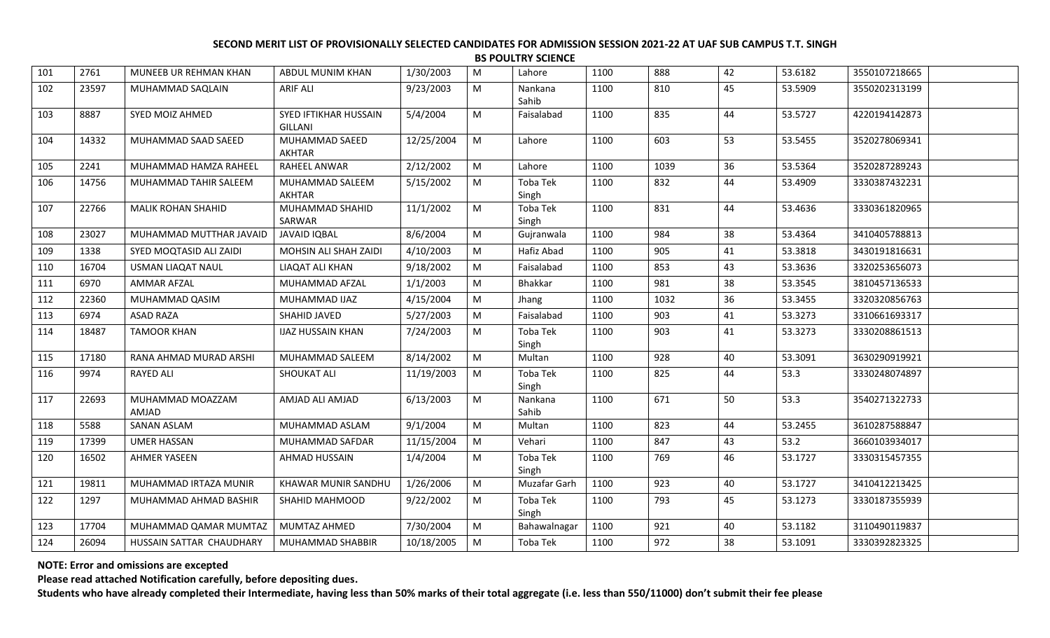|     | <b>BS POULTRY SCIENCE</b> |                           |                                         |            |   |                   |      |      |    |         |               |  |
|-----|---------------------------|---------------------------|-----------------------------------------|------------|---|-------------------|------|------|----|---------|---------------|--|
| 101 | 2761                      | MUNEEB UR REHMAN KHAN     | ABDUL MUNIM KHAN                        | 1/30/2003  | M | Lahore            | 1100 | 888  | 42 | 53.6182 | 3550107218665 |  |
| 102 | 23597                     | MUHAMMAD SAQLAIN          | <b>ARIF ALI</b>                         | 9/23/2003  | M | Nankana<br>Sahib  | 1100 | 810  | 45 | 53.5909 | 3550202313199 |  |
| 103 | 8887                      | SYED MOIZ AHMED           | SYED IFTIKHAR HUSSAIN<br><b>GILLANI</b> | 5/4/2004   | M | Faisalabad        | 1100 | 835  | 44 | 53.5727 | 4220194142873 |  |
| 104 | 14332                     | MUHAMMAD SAAD SAEED       | MUHAMMAD SAEED<br><b>AKHTAR</b>         | 12/25/2004 | M | Lahore            | 1100 | 603  | 53 | 53.5455 | 3520278069341 |  |
| 105 | 2241                      | MUHAMMAD HAMZA RAHEEL     | <b>RAHEEL ANWAR</b>                     | 2/12/2002  | M | Lahore            | 1100 | 1039 | 36 | 53.5364 | 3520287289243 |  |
| 106 | 14756                     | MUHAMMAD TAHIR SALEEM     | MUHAMMAD SALEEM<br><b>AKHTAR</b>        | 5/15/2002  | M | Toba Tek<br>Singh | 1100 | 832  | 44 | 53.4909 | 3330387432231 |  |
| 107 | 22766                     | <b>MALIK ROHAN SHAHID</b> | MUHAMMAD SHAHID<br>SARWAR               | 11/1/2002  | M | Toba Tek<br>Singh | 1100 | 831  | 44 | 53.4636 | 3330361820965 |  |
| 108 | 23027                     | MUHAMMAD MUTTHAR JAVAID   | <b>JAVAID IQBAL</b>                     | 8/6/2004   | M | Gujranwala        | 1100 | 984  | 38 | 53.4364 | 3410405788813 |  |
| 109 | 1338                      | SYED MOQTASID ALI ZAIDI   | MOHSIN ALI SHAH ZAIDI                   | 4/10/2003  | M | Hafiz Abad        | 1100 | 905  | 41 | 53.3818 | 3430191816631 |  |
| 110 | 16704                     | <b>USMAN LIAQAT NAUL</b>  | LIAQAT ALI KHAN                         | 9/18/2002  | M | Faisalabad        | 1100 | 853  | 43 | 53.3636 | 3320253656073 |  |
| 111 | 6970                      | <b>AMMAR AFZAL</b>        | MUHAMMAD AFZAL                          | 1/1/2003   | M | <b>Bhakkar</b>    | 1100 | 981  | 38 | 53.3545 | 3810457136533 |  |
| 112 | 22360                     | MUHAMMAD QASIM            | MUHAMMAD IJAZ                           | 4/15/2004  | M | Jhang             | 1100 | 1032 | 36 | 53.3455 | 3320320856763 |  |
| 113 | 6974                      | <b>ASAD RAZA</b>          | SHAHID JAVED                            | 5/27/2003  | M | Faisalabad        | 1100 | 903  | 41 | 53.3273 | 3310661693317 |  |
| 114 | 18487                     | <b>TAMOOR KHAN</b>        | <b>IJAZ HUSSAIN KHAN</b>                | 7/24/2003  | M | Toba Tek<br>Singh | 1100 | 903  | 41 | 53.3273 | 3330208861513 |  |
| 115 | 17180                     | RANA AHMAD MURAD ARSHI    | MUHAMMAD SALEEM                         | 8/14/2002  | M | Multan            | 1100 | 928  | 40 | 53.3091 | 3630290919921 |  |
| 116 | 9974                      | <b>RAYED ALI</b>          | <b>SHOUKAT ALI</b>                      | 11/19/2003 | M | Toba Tek<br>Singh | 1100 | 825  | 44 | 53.3    | 3330248074897 |  |
| 117 | 22693                     | MUHAMMAD MOAZZAM<br>AMJAD | AMJAD ALI AMJAD                         | 6/13/2003  | M | Nankana<br>Sahib  | 1100 | 671  | 50 | 53.3    | 3540271322733 |  |
| 118 | 5588                      | <b>SANAN ASLAM</b>        | MUHAMMAD ASLAM                          | 9/1/2004   | M | Multan            | 1100 | 823  | 44 | 53.2455 | 3610287588847 |  |
| 119 | 17399                     | UMER HASSAN               | MUHAMMAD SAFDAR                         | 11/15/2004 | M | Vehari            | 1100 | 847  | 43 | 53.2    | 3660103934017 |  |
| 120 | 16502                     | <b>AHMER YASEEN</b>       | AHMAD HUSSAIN                           | 1/4/2004   | M | Toba Tek<br>Singh | 1100 | 769  | 46 | 53.1727 | 3330315457355 |  |
| 121 | 19811                     | MUHAMMAD IRTAZA MUNIR     | <b>KHAWAR MUNIR SANDHU</b>              | 1/26/2006  | M | Muzafar Garh      | 1100 | 923  | 40 | 53.1727 | 3410412213425 |  |
| 122 | 1297                      | MUHAMMAD AHMAD BASHIR     | SHAHID MAHMOOD                          | 9/22/2002  | M | Toba Tek<br>Singh | 1100 | 793  | 45 | 53.1273 | 3330187355939 |  |
| 123 | 17704                     | MUHAMMAD QAMAR MUMTAZ     | MUMTAZ AHMED                            | 7/30/2004  | M | Bahawalnagar      | 1100 | 921  | 40 | 53.1182 | 3110490119837 |  |
| 124 | 26094                     | HUSSAIN SATTAR CHAUDHARY  | MUHAMMAD SHABBIR                        | 10/18/2005 | M | Toba Tek          | 1100 | 972  | 38 | 53.1091 | 3330392823325 |  |

**NOTE: Error and omissions are excepted**

**Please read attached Notification carefully, before depositing dues.**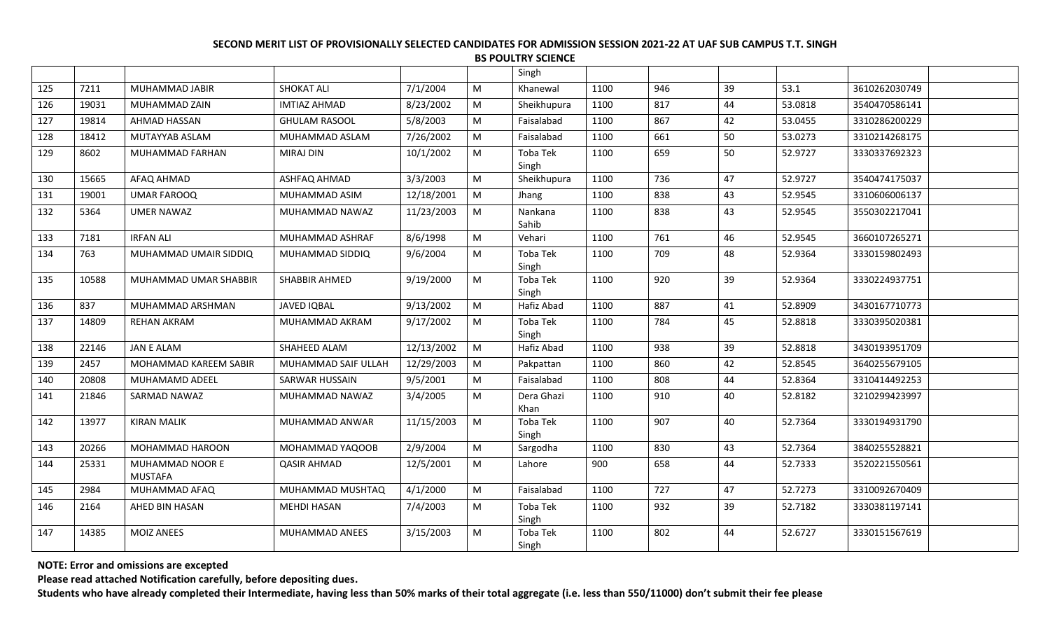|     |       |                                   |                       |            |   | Singh              |      |     |    |         |               |
|-----|-------|-----------------------------------|-----------------------|------------|---|--------------------|------|-----|----|---------|---------------|
| 125 | 7211  | MUHAMMAD JABIR                    | <b>SHOKAT ALI</b>     | 7/1/2004   | M | Khanewal           | 1100 | 946 | 39 | 53.1    | 3610262030749 |
| 126 | 19031 | MUHAMMAD ZAIN                     | <b>IMTIAZ AHMAD</b>   | 8/23/2002  | M | Sheikhupura        | 1100 | 817 | 44 | 53.0818 | 3540470586141 |
| 127 | 19814 | AHMAD HASSAN                      | <b>GHULAM RASOOL</b>  | 5/8/2003   | M | Faisalabad         | 1100 | 867 | 42 | 53.0455 | 3310286200229 |
| 128 | 18412 | MUTAYYAB ASLAM                    | MUHAMMAD ASLAM        | 7/26/2002  | M | Faisalabad         | 1100 | 661 | 50 | 53.0273 | 3310214268175 |
| 129 | 8602  | MUHAMMAD FARHAN                   | <b>MIRAJ DIN</b>      | 10/1/2002  | M | Toba Tek<br>Singh  | 1100 | 659 | 50 | 52.9727 | 3330337692323 |
| 130 | 15665 | AFAQ AHMAD                        | ASHFAQ AHMAD          | 3/3/2003   | M | Sheikhupura        | 1100 | 736 | 47 | 52.9727 | 3540474175037 |
| 131 | 19001 | <b>UMAR FAROOQ</b>                | MUHAMMAD ASIM         | 12/18/2001 | M | Jhang              | 1100 | 838 | 43 | 52.9545 | 3310606006137 |
| 132 | 5364  | <b>UMER NAWAZ</b>                 | MUHAMMAD NAWAZ        | 11/23/2003 | M | Nankana<br>Sahib   | 1100 | 838 | 43 | 52.9545 | 3550302217041 |
| 133 | 7181  | <b>IRFAN ALI</b>                  | MUHAMMAD ASHRAF       | 8/6/1998   | M | Vehari             | 1100 | 761 | 46 | 52.9545 | 3660107265271 |
| 134 | 763   | MUHAMMAD UMAIR SIDDIQ             | MUHAMMAD SIDDIQ       | 9/6/2004   | M | Toba Tek<br>Singh  | 1100 | 709 | 48 | 52.9364 | 3330159802493 |
| 135 | 10588 | MUHAMMAD UMAR SHABBIR             | SHABBIR AHMED         | 9/19/2000  | M | Toba Tek<br>Singh  | 1100 | 920 | 39 | 52.9364 | 3330224937751 |
| 136 | 837   | MUHAMMAD ARSHMAN                  | JAVED IQBAL           | 9/13/2002  | M | Hafiz Abad         | 1100 | 887 | 41 | 52.8909 | 3430167710773 |
| 137 | 14809 | <b>REHAN AKRAM</b>                | MUHAMMAD AKRAM        | 9/17/2002  | M | Toba Tek<br>Singh  | 1100 | 784 | 45 | 52.8818 | 3330395020381 |
| 138 | 22146 | <b>JAN E ALAM</b>                 | SHAHEED ALAM          | 12/13/2002 | M | Hafiz Abad         | 1100 | 938 | 39 | 52.8818 | 3430193951709 |
| 139 | 2457  | MOHAMMAD KAREEM SABIR             | MUHAMMAD SAIF ULLAH   | 12/29/2003 | M | Pakpattan          | 1100 | 860 | 42 | 52.8545 | 3640255679105 |
| 140 | 20808 | MUHAMAMD ADEEL                    | <b>SARWAR HUSSAIN</b> | 9/5/2001   | M | Faisalabad         | 1100 | 808 | 44 | 52.8364 | 3310414492253 |
| 141 | 21846 | <b>SARMAD NAWAZ</b>               | MUHAMMAD NAWAZ        | 3/4/2005   | M | Dera Ghazi<br>Khan | 1100 | 910 | 40 | 52.8182 | 3210299423997 |
| 142 | 13977 | <b>KIRAN MALIK</b>                | MUHAMMAD ANWAR        | 11/15/2003 | M | Toba Tek<br>Singh  | 1100 | 907 | 40 | 52.7364 | 3330194931790 |
| 143 | 20266 | MOHAMMAD HAROON                   | MOHAMMAD YAQOOB       | 2/9/2004   | M | Sargodha           | 1100 | 830 | 43 | 52.7364 | 3840255528821 |
| 144 | 25331 | MUHAMMAD NOOR E<br><b>MUSTAFA</b> | <b>QASIR AHMAD</b>    | 12/5/2001  | M | Lahore             | 900  | 658 | 44 | 52.7333 | 3520221550561 |
| 145 | 2984  | MUHAMMAD AFAQ                     | MUHAMMAD MUSHTAQ      | 4/1/2000   | M | Faisalabad         | 1100 | 727 | 47 | 52.7273 | 3310092670409 |
| 146 | 2164  | AHED BIN HASAN                    | <b>MEHDI HASAN</b>    | 7/4/2003   | M | Toba Tek<br>Singh  | 1100 | 932 | 39 | 52.7182 | 3330381197141 |
| 147 | 14385 | <b>MOIZ ANEES</b>                 | MUHAMMAD ANEES        | 3/15/2003  | M | Toba Tek<br>Singh  | 1100 | 802 | 44 | 52.6727 | 3330151567619 |

**NOTE: Error and omissions are excepted**

**Please read attached Notification carefully, before depositing dues.**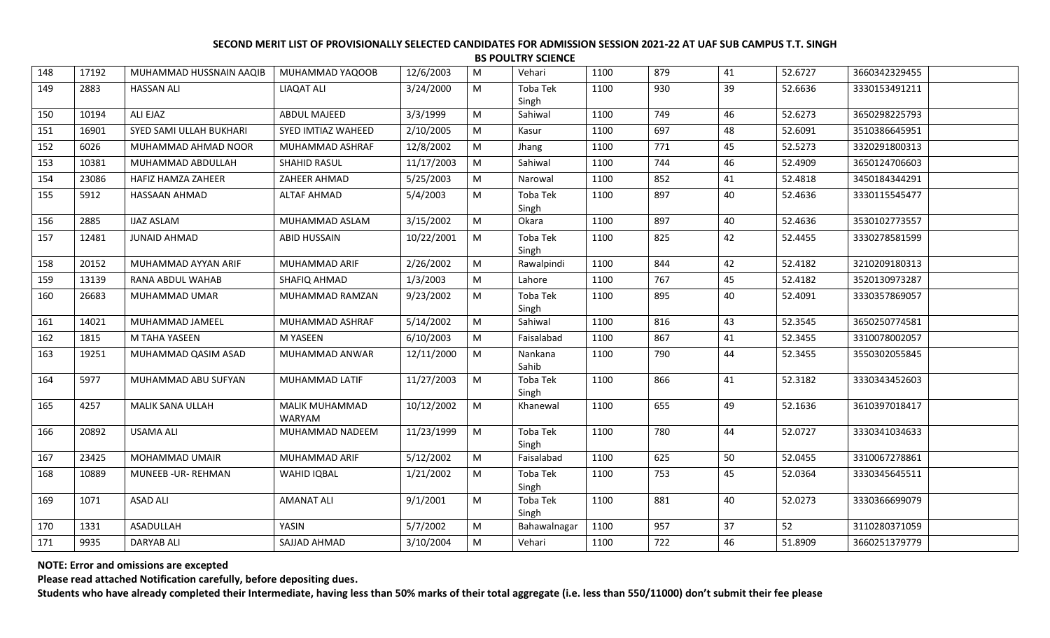| 148 | 17192 | MUHAMMAD HUSSNAIN AAQIB | MUHAMMAD YAQOOB                 | 12/6/2003  | M         | Vehari            | 1100 | 879 | 41 | 52.6727 | 3660342329455 |  |
|-----|-------|-------------------------|---------------------------------|------------|-----------|-------------------|------|-----|----|---------|---------------|--|
| 149 | 2883  | <b>HASSAN ALI</b>       | <b>LIAQAT ALI</b>               | 3/24/2000  | M         | Toba Tek<br>Singh | 1100 | 930 | 39 | 52.6636 | 3330153491211 |  |
| 150 | 10194 | ALI EJAZ                | ABDUL MAJEED                    | 3/3/1999   | M         | Sahiwal           | 1100 | 749 | 46 | 52.6273 | 3650298225793 |  |
| 151 | 16901 | SYED SAMI ULLAH BUKHARI | SYED IMTIAZ WAHEED              | 2/10/2005  | M         | Kasur             | 1100 | 697 | 48 | 52.6091 | 3510386645951 |  |
| 152 | 6026  | MUHAMMAD AHMAD NOOR     | MUHAMMAD ASHRAF                 | 12/8/2002  | M         | Jhang             | 1100 | 771 | 45 | 52.5273 | 3320291800313 |  |
| 153 | 10381 | MUHAMMAD ABDULLAH       | SHAHID RASUL                    | 11/17/2003 | M         | Sahiwal           | 1100 | 744 | 46 | 52.4909 | 3650124706603 |  |
| 154 | 23086 | HAFIZ HAMZA ZAHEER      | ZAHEER AHMAD                    | 5/25/2003  | M         | Narowal           | 1100 | 852 | 41 | 52.4818 | 3450184344291 |  |
| 155 | 5912  | HASSAAN AHMAD           | <b>ALTAF AHMAD</b>              | 5/4/2003   | M         | Toba Tek<br>Singh | 1100 | 897 | 40 | 52.4636 | 3330115545477 |  |
| 156 | 2885  | <b>IJAZ ASLAM</b>       | MUHAMMAD ASLAM                  | 3/15/2002  | M         | Okara             | 1100 | 897 | 40 | 52.4636 | 3530102773557 |  |
| 157 | 12481 | <b>JUNAID AHMAD</b>     | <b>ABID HUSSAIN</b>             | 10/22/2001 | M         | Toba Tek<br>Singh | 1100 | 825 | 42 | 52.4455 | 3330278581599 |  |
| 158 | 20152 | MUHAMMAD AYYAN ARIF     | MUHAMMAD ARIF                   | 2/26/2002  | M         | Rawalpindi        | 1100 | 844 | 42 | 52.4182 | 3210209180313 |  |
| 159 | 13139 | RANA ABDUL WAHAB        | SHAFIQ AHMAD                    | 1/3/2003   | M         | Lahore            | 1100 | 767 | 45 | 52.4182 | 3520130973287 |  |
| 160 | 26683 | MUHAMMAD UMAR           | MUHAMMAD RAMZAN                 | 9/23/2002  | M         | Toba Tek<br>Singh | 1100 | 895 | 40 | 52.4091 | 3330357869057 |  |
| 161 | 14021 | MUHAMMAD JAMEEL         | MUHAMMAD ASHRAF                 | 5/14/2002  | M         | Sahiwal           | 1100 | 816 | 43 | 52.3545 | 3650250774581 |  |
| 162 | 1815  | M TAHA YASEEN           | M YASEEN                        | 6/10/2003  | M         | Faisalabad        | 1100 | 867 | 41 | 52.3455 | 3310078002057 |  |
| 163 | 19251 | MUHAMMAD QASIM ASAD     | MUHAMMAD ANWAR                  | 12/11/2000 | M         | Nankana<br>Sahib  | 1100 | 790 | 44 | 52.3455 | 3550302055845 |  |
| 164 | 5977  | MUHAMMAD ABU SUFYAN     | MUHAMMAD LATIF                  | 11/27/2003 | ${\sf M}$ | Toba Tek<br>Singh | 1100 | 866 | 41 | 52.3182 | 3330343452603 |  |
| 165 | 4257  | <b>MALIK SANA ULLAH</b> | MALIK MUHAMMAD<br><b>WARYAM</b> | 10/12/2002 | ${\sf M}$ | Khanewal          | 1100 | 655 | 49 | 52.1636 | 3610397018417 |  |
| 166 | 20892 | <b>USAMA ALI</b>        | MUHAMMAD NADEEM                 | 11/23/1999 | M         | Toba Tek<br>Singh | 1100 | 780 | 44 | 52.0727 | 3330341034633 |  |
| 167 | 23425 | MOHAMMAD UMAIR          | MUHAMMAD ARIF                   | 5/12/2002  | M         | Faisalabad        | 1100 | 625 | 50 | 52.0455 | 3310067278861 |  |
| 168 | 10889 | MUNEEB - UR- REHMAN     | <b>WAHID IQBAL</b>              | 1/21/2002  | M         | Toba Tek<br>Singh | 1100 | 753 | 45 | 52.0364 | 3330345645511 |  |
| 169 | 1071  | <b>ASAD ALI</b>         | <b>AMANAT ALI</b>               | 9/1/2001   | M         | Toba Tek<br>Singh | 1100 | 881 | 40 | 52.0273 | 3330366699079 |  |
| 170 | 1331  | ASADULLAH               | YASIN                           | 5/7/2002   | M         | Bahawalnagar      | 1100 | 957 | 37 | 52      | 3110280371059 |  |
| 171 | 9935  | <b>DARYAB ALI</b>       | SAJJAD AHMAD                    | 3/10/2004  | M         | Vehari            | 1100 | 722 | 46 | 51.8909 | 3660251379779 |  |
|     |       |                         |                                 |            |           |                   |      |     |    |         |               |  |

**NOTE: Error and omissions are excepted**

**Please read attached Notification carefully, before depositing dues.**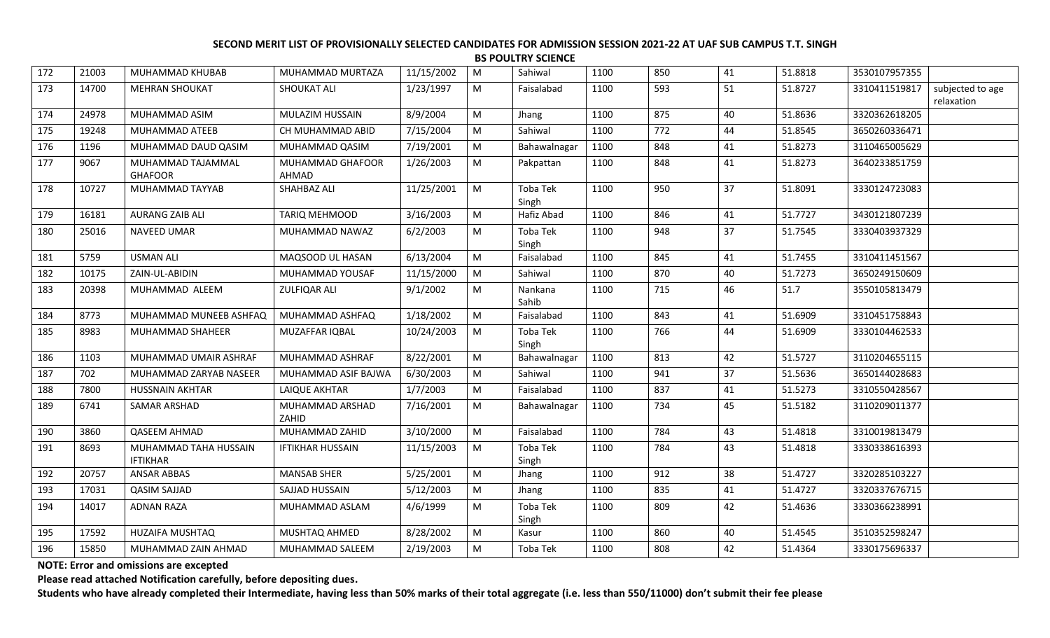| 172 | 21003 | MUHAMMAD KHUBAB                          | MUHAMMAD MURTAZA          | 11/15/2002 | M         | Sahiwal                  | 1100 | 850 | 41 | 51.8818 | 3530107957355 |                                |
|-----|-------|------------------------------------------|---------------------------|------------|-----------|--------------------------|------|-----|----|---------|---------------|--------------------------------|
| 173 | 14700 | <b>MEHRAN SHOUKAT</b>                    | <b>SHOUKAT ALI</b>        | 1/23/1997  | M         | Faisalabad               | 1100 | 593 | 51 | 51.8727 | 3310411519817 | subjected to age<br>relaxation |
| 174 | 24978 | MUHAMMAD ASIM                            | MULAZIM HUSSAIN           | 8/9/2004   | M         | Jhang                    | 1100 | 875 | 40 | 51.8636 | 3320362618205 |                                |
| 175 | 19248 | MUHAMMAD ATEEB                           | CH MUHAMMAD ABID          | 7/15/2004  | M         | Sahiwal                  | 1100 | 772 | 44 | 51.8545 | 3650260336471 |                                |
| 176 | 1196  | MUHAMMAD DAUD QASIM                      | MUHAMMAD QASIM            | 7/19/2001  | M         | Bahawalnagar             | 1100 | 848 | 41 | 51.8273 | 3110465005629 |                                |
| 177 | 9067  | MUHAMMAD TAJAMMAL<br><b>GHAFOOR</b>      | MUHAMMAD GHAFOOR<br>AHMAD | 1/26/2003  | M         | Pakpattan                | 1100 | 848 | 41 | 51.8273 | 3640233851759 |                                |
| 178 | 10727 | MUHAMMAD TAYYAB                          | SHAHBAZ ALI               | 11/25/2001 | M         | <b>Toba Tek</b><br>Singh | 1100 | 950 | 37 | 51.8091 | 3330124723083 |                                |
| 179 | 16181 | <b>AURANG ZAIB ALI</b>                   | TARIQ MEHMOOD             | 3/16/2003  | M         | Hafiz Abad               | 1100 | 846 | 41 | 51.7727 | 3430121807239 |                                |
| 180 | 25016 | NAVEED UMAR                              | MUHAMMAD NAWAZ            | 6/2/2003   | M         | Toba Tek<br>Singh        | 1100 | 948 | 37 | 51.7545 | 3330403937329 |                                |
| 181 | 5759  | <b>USMAN ALI</b>                         | MAQSOOD UL HASAN          | 6/13/2004  | M         | Faisalabad               | 1100 | 845 | 41 | 51.7455 | 3310411451567 |                                |
| 182 | 10175 | ZAIN-UL-ABIDIN                           | MUHAMMAD YOUSAF           | 11/15/2000 | M         | Sahiwal                  | 1100 | 870 | 40 | 51.7273 | 3650249150609 |                                |
| 183 | 20398 | MUHAMMAD ALEEM                           | <b>ZULFIQAR ALI</b>       | 9/1/2002   | M         | Nankana<br>Sahib         | 1100 | 715 | 46 | 51.7    | 3550105813479 |                                |
| 184 | 8773  | MUHAMMAD MUNEEB ASHFAQ                   | MUHAMMAD ASHFAQ           | 1/18/2002  | M         | Faisalabad               | 1100 | 843 | 41 | 51.6909 | 3310451758843 |                                |
| 185 | 8983  | MUHAMMAD SHAHEER                         | MUZAFFAR IQBAL            | 10/24/2003 | M         | Toba Tek<br>Singh        | 1100 | 766 | 44 | 51.6909 | 3330104462533 |                                |
| 186 | 1103  | MUHAMMAD UMAIR ASHRAF                    | MUHAMMAD ASHRAF           | 8/22/2001  | M         | Bahawalnagar             | 1100 | 813 | 42 | 51.5727 | 3110204655115 |                                |
| 187 | 702   | MUHAMMAD ZARYAB NASEER                   | MUHAMMAD ASIF BAJWA       | 6/30/2003  | M         | Sahiwal                  | 1100 | 941 | 37 | 51.5636 | 3650144028683 |                                |
| 188 | 7800  | <b>HUSSNAIN AKHTAR</b>                   | <b>LAIQUE AKHTAR</b>      | 1/7/2003   | M         | Faisalabad               | 1100 | 837 | 41 | 51.5273 | 3310550428567 |                                |
| 189 | 6741  | SAMAR ARSHAD                             | MUHAMMAD ARSHAD<br>ZAHID  | 7/16/2001  | M         | Bahawalnagar             | 1100 | 734 | 45 | 51.5182 | 3110209011377 |                                |
| 190 | 3860  | <b>QASEEM AHMAD</b>                      | MUHAMMAD ZAHID            | 3/10/2000  | M         | Faisalabad               | 1100 | 784 | 43 | 51.4818 | 3310019813479 |                                |
| 191 | 8693  | MUHAMMAD TAHA HUSSAIN<br><b>IFTIKHAR</b> | <b>IFTIKHAR HUSSAIN</b>   | 11/15/2003 | M         | Toba Tek<br>Singh        | 1100 | 784 | 43 | 51.4818 | 3330338616393 |                                |
| 192 | 20757 | <b>ANSAR ABBAS</b>                       | <b>MANSAB SHER</b>        | 5/25/2001  | M         | Jhang                    | 1100 | 912 | 38 | 51.4727 | 3320285103227 |                                |
| 193 | 17031 | <b>QASIM SAJJAD</b>                      | SAJJAD HUSSAIN            | 5/12/2003  | ${\sf M}$ | Jhang                    | 1100 | 835 | 41 | 51.4727 | 3320337676715 |                                |
| 194 | 14017 | <b>ADNAN RAZA</b>                        | MUHAMMAD ASLAM            | 4/6/1999   | M         | Toba Tek<br>Singh        | 1100 | 809 | 42 | 51.4636 | 3330366238991 |                                |
| 195 | 17592 | HUZAIFA MUSHTAQ                          | MUSHTAQ AHMED             | 8/28/2002  | M         | Kasur                    | 1100 | 860 | 40 | 51.4545 | 3510352598247 |                                |
| 196 | 15850 | MUHAMMAD ZAIN AHMAD                      | MUHAMMAD SALEEM           | 2/19/2003  | M         | Toba Tek                 | 1100 | 808 | 42 | 51.4364 | 3330175696337 |                                |

**NOTE: Error and omissions are excepted**

**Please read attached Notification carefully, before depositing dues.**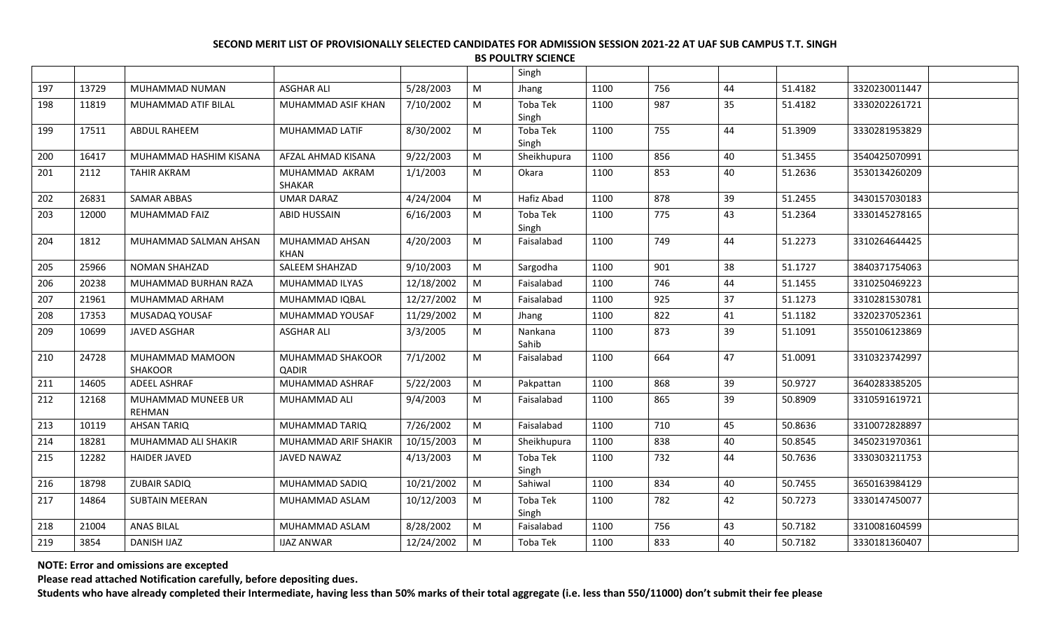|     |       |                                     |                                 |            |   | Singh             |      |     |    |         |               |
|-----|-------|-------------------------------------|---------------------------------|------------|---|-------------------|------|-----|----|---------|---------------|
| 197 | 13729 | MUHAMMAD NUMAN                      | <b>ASGHAR ALI</b>               | 5/28/2003  | M | Jhang             | 1100 | 756 | 44 | 51.4182 | 3320230011447 |
| 198 | 11819 | MUHAMMAD ATIF BILAL                 | MUHAMMAD ASIF KHAN              | 7/10/2002  | M | Toba Tek<br>Singh | 1100 | 987 | 35 | 51.4182 | 3330202261721 |
| 199 | 17511 | ABDUL RAHEEM                        | MUHAMMAD LATIF                  | 8/30/2002  | M | Toba Tek<br>Singh | 1100 | 755 | 44 | 51.3909 | 3330281953829 |
| 200 | 16417 | MUHAMMAD HASHIM KISANA              | AFZAL AHMAD KISANA              | 9/22/2003  | M | Sheikhupura       | 1100 | 856 | 40 | 51.3455 | 3540425070991 |
| 201 | 2112  | <b>TAHIR AKRAM</b>                  | MUHAMMAD AKRAM<br><b>SHAKAR</b> | 1/1/2003   | M | Okara             | 1100 | 853 | 40 | 51.2636 | 3530134260209 |
| 202 | 26831 | <b>SAMAR ABBAS</b>                  | <b>UMAR DARAZ</b>               | 4/24/2004  | M | Hafiz Abad        | 1100 | 878 | 39 | 51.2455 | 3430157030183 |
| 203 | 12000 | <b>MUHAMMAD FAIZ</b>                | <b>ABID HUSSAIN</b>             | 6/16/2003  | M | Toba Tek<br>Singh | 1100 | 775 | 43 | 51.2364 | 3330145278165 |
| 204 | 1812  | MUHAMMAD SALMAN AHSAN               | MUHAMMAD AHSAN<br><b>KHAN</b>   | 4/20/2003  | M | Faisalabad        | 1100 | 749 | 44 | 51.2273 | 3310264644425 |
| 205 | 25966 | <b>NOMAN SHAHZAD</b>                | <b>SALEEM SHAHZAD</b>           | 9/10/2003  | M | Sargodha          | 1100 | 901 | 38 | 51.1727 | 3840371754063 |
| 206 | 20238 | MUHAMMAD BURHAN RAZA                | MUHAMMAD ILYAS                  | 12/18/2002 | M | Faisalabad        | 1100 | 746 | 44 | 51.1455 | 3310250469223 |
| 207 | 21961 | MUHAMMAD ARHAM                      | MUHAMMAD IQBAL                  | 12/27/2002 | M | Faisalabad        | 1100 | 925 | 37 | 51.1273 | 3310281530781 |
| 208 | 17353 | MUSADAQ YOUSAF                      | MUHAMMAD YOUSAF                 | 11/29/2002 | M | Jhang             | 1100 | 822 | 41 | 51.1182 | 3320237052361 |
| 209 | 10699 | <b>JAVED ASGHAR</b>                 | <b>ASGHAR ALI</b>               | 3/3/2005   | M | Nankana<br>Sahib  | 1100 | 873 | 39 | 51.1091 | 3550106123869 |
| 210 | 24728 | MUHAMMAD MAMOON<br><b>SHAKOOR</b>   | MUHAMMAD SHAKOOR<br>QADIR       | 7/1/2002   | M | Faisalabad        | 1100 | 664 | 47 | 51.0091 | 3310323742997 |
| 211 | 14605 | ADEEL ASHRAF                        | MUHAMMAD ASHRAF                 | 5/22/2003  | M | Pakpattan         | 1100 | 868 | 39 | 50.9727 | 3640283385205 |
| 212 | 12168 | MUHAMMAD MUNEEB UR<br><b>REHMAN</b> | MUHAMMAD ALI                    | 9/4/2003   | M | Faisalabad        | 1100 | 865 | 39 | 50.8909 | 3310591619721 |
| 213 | 10119 | <b>AHSAN TARIQ</b>                  | MUHAMMAD TARIQ                  | 7/26/2002  | M | Faisalabad        | 1100 | 710 | 45 | 50.8636 | 3310072828897 |
| 214 | 18281 | MUHAMMAD ALI SHAKIR                 | <b>MUHAMMAD ARIF SHAKIR</b>     | 10/15/2003 | M | Sheikhupura       | 1100 | 838 | 40 | 50.8545 | 3450231970361 |
| 215 | 12282 | <b>HAIDER JAVED</b>                 | JAVED NAWAZ                     | 4/13/2003  | M | Toba Tek<br>Singh | 1100 | 732 | 44 | 50.7636 | 3330303211753 |
| 216 | 18798 | <b>ZUBAIR SADIQ</b>                 | MUHAMMAD SADIQ                  | 10/21/2002 | M | Sahiwal           | 1100 | 834 | 40 | 50.7455 | 3650163984129 |
| 217 | 14864 | <b>SUBTAIN MEERAN</b>               | MUHAMMAD ASLAM                  | 10/12/2003 | M | Toba Tek<br>Singh | 1100 | 782 | 42 | 50.7273 | 3330147450077 |
| 218 | 21004 | <b>ANAS BILAL</b>                   | MUHAMMAD ASLAM                  | 8/28/2002  | M | Faisalabad        | 1100 | 756 | 43 | 50.7182 | 3310081604599 |
| 219 | 3854  | <b>DANISH IJAZ</b>                  | <b>IJAZ ANWAR</b>               | 12/24/2002 | M | Toba Tek          | 1100 | 833 | 40 | 50.7182 | 3330181360407 |
|     |       |                                     |                                 |            |   |                   |      |     |    |         |               |

**NOTE: Error and omissions are excepted**

**Please read attached Notification carefully, before depositing dues.**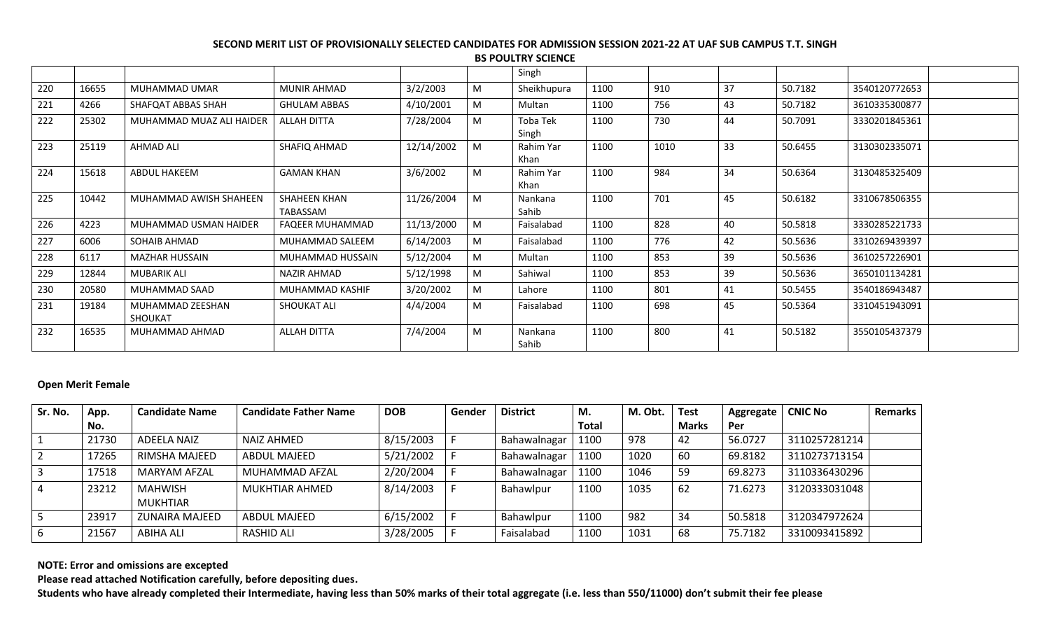|     |       |                                    |                                 |            |   | Singh             |      |      |    |         |               |  |
|-----|-------|------------------------------------|---------------------------------|------------|---|-------------------|------|------|----|---------|---------------|--|
| 220 | 16655 | MUHAMMAD UMAR                      | <b>MUNIR AHMAD</b>              | 3/2/2003   | M | Sheikhupura       | 1100 | 910  | 37 | 50.7182 | 3540120772653 |  |
| 221 | 4266  | SHAFQAT ABBAS SHAH                 | <b>GHULAM ABBAS</b>             | 4/10/2001  | M | Multan            | 1100 | 756  | 43 | 50.7182 | 3610335300877 |  |
| 222 | 25302 | MUHAMMAD MUAZ ALI HAIDER           | <b>ALLAH DITTA</b>              | 7/28/2004  | M | Toba Tek<br>Singh | 1100 | 730  | 44 | 50.7091 | 3330201845361 |  |
| 223 | 25119 | <b>AHMAD ALI</b>                   | SHAFIQ AHMAD                    | 12/14/2002 | M | Rahim Yar<br>Khan | 1100 | 1010 | 33 | 50.6455 | 3130302335071 |  |
| 224 | 15618 | <b>ABDUL HAKEEM</b>                | <b>GAMAN KHAN</b>               | 3/6/2002   | M | Rahim Yar<br>Khan | 1100 | 984  | 34 | 50.6364 | 3130485325409 |  |
| 225 | 10442 | MUHAMMAD AWISH SHAHEEN             | <b>SHAHEEN KHAN</b><br>TABASSAM | 11/26/2004 | M | Nankana<br>Sahib  | 1100 | 701  | 45 | 50.6182 | 3310678506355 |  |
| 226 | 4223  | MUHAMMAD USMAN HAIDER              | FAQEER MUHAMMAD                 | 11/13/2000 | M | Faisalabad        | 1100 | 828  | 40 | 50.5818 | 3330285221733 |  |
| 227 | 6006  | SOHAIB AHMAD                       | MUHAMMAD SALEEM                 | 6/14/2003  | M | Faisalabad        | 1100 | 776  | 42 | 50.5636 | 3310269439397 |  |
| 228 | 6117  | MAZHAR HUSSAIN                     | MUHAMMAD HUSSAIN                | 5/12/2004  | M | Multan            | 1100 | 853  | 39 | 50.5636 | 3610257226901 |  |
| 229 | 12844 | MUBARIK ALI                        | <b>NAZIR AHMAD</b>              | 5/12/1998  | M | Sahiwal           | 1100 | 853  | 39 | 50.5636 | 3650101134281 |  |
| 230 | 20580 | MUHAMMAD SAAD                      | MUHAMMAD KASHIF                 | 3/20/2002  | M | Lahore            | 1100 | 801  | 41 | 50.5455 | 3540186943487 |  |
| 231 | 19184 | MUHAMMAD ZEESHAN<br><b>SHOUKAT</b> | <b>SHOUKAT ALI</b>              | 4/4/2004   | M | Faisalabad        | 1100 | 698  | 45 | 50.5364 | 3310451943091 |  |
| 232 | 16535 | MUHAMMAD AHMAD                     | <b>ALLAH DITTA</b>              | 7/4/2004   | M | Nankana<br>Sahib  | 1100 | 800  | 41 | 50.5182 | 3550105437379 |  |

## **Open Merit Female**

| Sr. No. | App.  | <b>Candidate Name</b>      | <b>Candidate Father Name</b> | <b>DOB</b> | Gender | <b>District</b> | M.           | M. Obt. | <b>Test</b>  | Aggregate | <b>CNIC No</b> | <b>Remarks</b> |
|---------|-------|----------------------------|------------------------------|------------|--------|-----------------|--------------|---------|--------------|-----------|----------------|----------------|
|         | No.   |                            |                              |            |        |                 | <b>Total</b> |         | <b>Marks</b> | Per       |                |                |
|         | 21730 | ADEELA NAIZ                | NAIZ AHMED                   | 8/15/2003  |        | Bahawalnagar    | 1100         | 978     | 42           | 56.0727   | 3110257281214  |                |
|         | 17265 | RIMSHA MAJEED              | ABDUL MAJEED                 | 5/21/2002  |        | Bahawalnagar    | 1100         | 1020    | -60          | 69.8182   | 3110273713154  |                |
|         | 17518 | MARYAM AFZAL               | MUHAMMAD AFZAL               | 2/20/2004  |        | Bahawalnagar    | 1100         | 1046    | 59           | 69.8273   | 3110336430296  |                |
|         | 23212 | <b>MAHWISH</b><br>MUKHTIAR | <b>MUKHTIAR AHMED</b>        | 8/14/2003  |        | Bahawlpur       | 1100         | 1035    | 62           | 71.6273   | 3120333031048  |                |
|         | 23917 | ZUNAIRA MAJEED             | ABDUL MAJEED                 | 6/15/2002  |        | Bahawlpur       | 1100         | 982     | 34           | 50.5818   | 3120347972624  |                |
| 6       | 21567 | ABIHA ALI                  | RASHID ALI                   | 3/28/2005  |        | Faisalabad      | 1100         | 1031    | 68           | 75.7182   | 3310093415892  |                |

**NOTE: Error and omissions are excepted**

**Please read attached Notification carefully, before depositing dues.**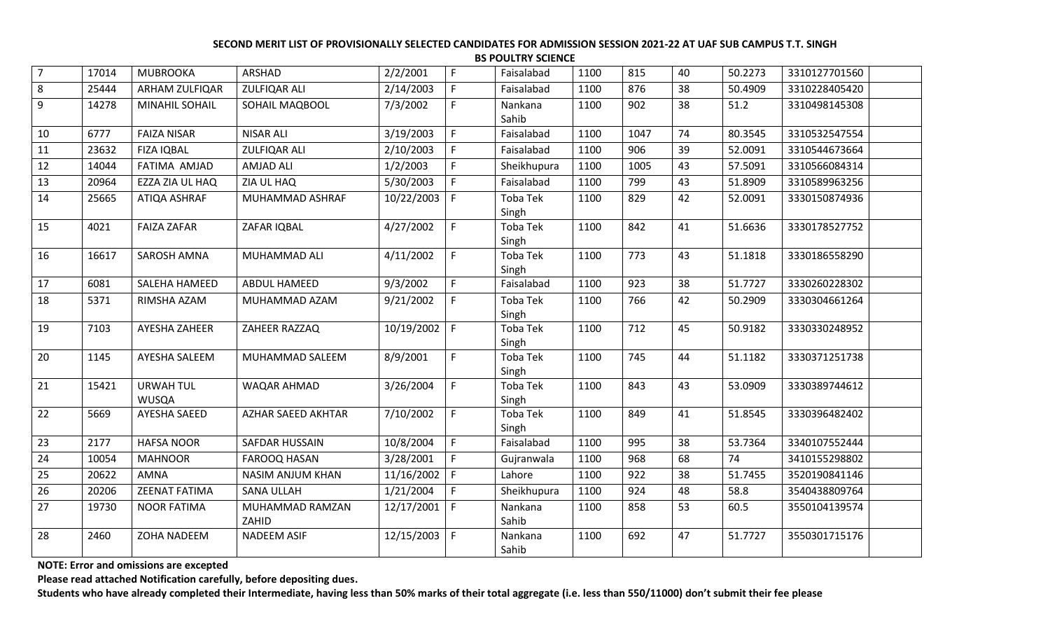| $\overline{7}$ | 17014 | <b>MUBROOKA</b>                  | ARSHAD                   | 2/2/2001         | F. | Faisalabad               | 1100 | 815  | 40 | 50.2273 | 3310127701560 |  |
|----------------|-------|----------------------------------|--------------------------|------------------|----|--------------------------|------|------|----|---------|---------------|--|
| 8              | 25444 | <b>ARHAM ZULFIQAR</b>            | <b>ZULFIQAR ALI</b>      | 2/14/2003        | F. | Faisalabad               | 1100 | 876  | 38 | 50.4909 | 3310228405420 |  |
| 9              | 14278 | MINAHIL SOHAIL                   | SOHAIL MAQBOOL           | 7/3/2002         | F  | Nankana<br>Sahib         | 1100 | 902  | 38 | 51.2    | 3310498145308 |  |
| 10             | 6777  | <b>FAIZA NISAR</b>               | <b>NISAR ALI</b>         | 3/19/2003        | F. | Faisalabad               | 1100 | 1047 | 74 | 80.3545 | 3310532547554 |  |
| 11             | 23632 | <b>FIZA IQBAL</b>                | <b>ZULFIQAR ALI</b>      | 2/10/2003        | F  | Faisalabad               | 1100 | 906  | 39 | 52.0091 | 3310544673664 |  |
| 12             | 14044 | FATIMA AMJAD                     | <b>AMJAD ALI</b>         | 1/2/2003         | F. | Sheikhupura              | 1100 | 1005 | 43 | 57.5091 | 3310566084314 |  |
| 13             | 20964 | EZZA ZIA UL HAQ                  | ZIA UL HAQ               | 5/30/2003        | F. | Faisalabad               | 1100 | 799  | 43 | 51.8909 | 3310589963256 |  |
| 14             | 25665 | ATIQA ASHRAF                     | MUHAMMAD ASHRAF          | 10/22/2003       | F  | Toba Tek<br>Singh        | 1100 | 829  | 42 | 52.0091 | 3330150874936 |  |
| 15             | 4021  | <b>FAIZA ZAFAR</b>               | ZAFAR IQBAL              | 4/27/2002        | F. | <b>Toba Tek</b><br>Singh | 1100 | 842  | 41 | 51.6636 | 3330178527752 |  |
| 16             | 16617 | SAROSH AMNA                      | MUHAMMAD ALI             | 4/11/2002        | F. | Toba Tek<br>Singh        | 1100 | 773  | 43 | 51.1818 | 3330186558290 |  |
| 17             | 6081  | SALEHA HAMEED                    | <b>ABDUL HAMEED</b>      | 9/3/2002         | F. | Faisalabad               | 1100 | 923  | 38 | 51.7727 | 3330260228302 |  |
| 18             | 5371  | RIMSHA AZAM                      | MUHAMMAD AZAM            | 9/21/2002        | F. | Toba Tek<br>Singh        | 1100 | 766  | 42 | 50.2909 | 3330304661264 |  |
| 19             | 7103  | AYESHA ZAHEER                    | ZAHEER RAZZAQ            | $10/19/2002$   F |    | <b>Toba Tek</b><br>Singh | 1100 | 712  | 45 | 50.9182 | 3330330248952 |  |
| 20             | 1145  | AYESHA SALEEM                    | MUHAMMAD SALEEM          | 8/9/2001         | F. | Toba Tek<br>Singh        | 1100 | 745  | 44 | 51.1182 | 3330371251738 |  |
| 21             | 15421 | <b>URWAH TUL</b><br><b>WUSQA</b> | WAQAR AHMAD              | 3/26/2004        | F. | <b>Toba Tek</b><br>Singh | 1100 | 843  | 43 | 53.0909 | 3330389744612 |  |
| 22             | 5669  | AYESHA SAEED                     | AZHAR SAEED AKHTAR       | 7/10/2002        | F. | <b>Toba Tek</b><br>Singh | 1100 | 849  | 41 | 51.8545 | 3330396482402 |  |
| 23             | 2177  | <b>HAFSA NOOR</b>                | SAFDAR HUSSAIN           | 10/8/2004        | F. | Faisalabad               | 1100 | 995  | 38 | 53.7364 | 3340107552444 |  |
| 24             | 10054 | <b>MAHNOOR</b>                   | <b>FAROOQ HASAN</b>      | 3/28/2001        | F. | Gujranwala               | 1100 | 968  | 68 | 74      | 3410155298802 |  |
| 25             | 20622 | <b>AMNA</b>                      | <b>NASIM ANJUM KHAN</b>  | 11/16/2002       | F  | Lahore                   | 1100 | 922  | 38 | 51.7455 | 3520190841146 |  |
| 26             | 20206 | ZEENAT FATIMA                    | <b>SANA ULLAH</b>        | 1/21/2004        | F  | Sheikhupura              | 1100 | 924  | 48 | 58.8    | 3540438809764 |  |
| 27             | 19730 | <b>NOOR FATIMA</b>               | MUHAMMAD RAMZAN<br>ZAHID | $12/17/2001$ F   |    | Nankana<br>Sahib         | 1100 | 858  | 53 | 60.5    | 3550104139574 |  |
| 28             | 2460  | ZOHA NADEEM                      | <b>NADEEM ASIF</b>       | 12/15/2003       | F  | Nankana<br>Sahib         | 1100 | 692  | 47 | 51.7727 | 3550301715176 |  |

**NOTE: Error and omissions are excepted**

**Please read attached Notification carefully, before depositing dues.**